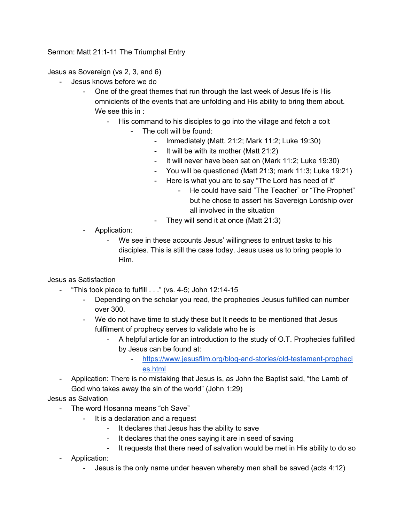Sermon: Matt 21:1-11 The Triumphal Entry

Jesus as Sovereign (vs 2, 3, and 6)

- Jesus knows before we do
	- One of the great themes that run through the last week of Jesus life is His omnicients of the events that are unfolding and His ability to bring them about. We see this in :
		- His command to his disciples to go into the village and fetch a colt
			- The colt will be found:
				- Immediately (Matt. 21:2; Mark 11:2; Luke 19:30)
				- It will be with its mother (Matt 21:2)
				- It will never have been sat on (Mark 11:2; Luke 19:30)
				- You will be questioned (Matt 21:3; mark 11:3; Luke 19:21)
				- Here is what you are to say "The Lord has need of it"
					- He could have said "The Teacher" or "The Prophet" but he chose to assert his Sovereign Lordship over all involved in the situation
				- They will send it at once (Matt 21:3)
	- Application:
		- We see in these accounts Jesus' willingness to entrust tasks to his disciples. This is still the case today. Jesus uses us to bring people to Him.

Jesus as Satisfaction

- "This took place to fulfill  $\ldots$ " (vs. 4-5; John 12:14-15
	- Depending on the scholar you read, the prophecies Jeusus fulfilled can number over 300.
	- We do not have time to study these but It needs to be mentioned that Jesus fulfilment of prophecy serves to validate who he is
		- A helpful article for an introduction to the study of O.T. Prophecies fulfilled by Jesus can be found at:
			- [https://www.jesusfilm.org/blog-and-stories/old-testament-propheci](https://www.jesusfilm.org/blog-and-stories/old-testament-prophecies.html) [es.html](https://www.jesusfilm.org/blog-and-stories/old-testament-prophecies.html)
- Application: There is no mistaking that Jesus is, as John the Baptist said, "the Lamb of God who takes away the sin of the world" (John 1:29)

Jesus as Salvation

- The word Hosanna means "oh Save"
	- It is a declaration and a request
		- It declares that Jesus has the ability to save
		- It declares that the ones saying it are in seed of saving
		- It requests that there need of salvation would be met in His ability to do so
- Application:
	- Jesus is the only name under heaven whereby men shall be saved (acts 4:12)